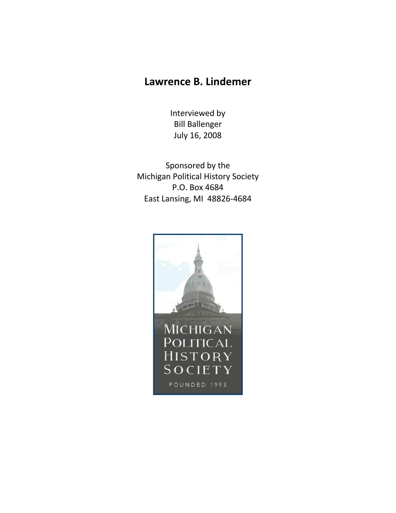## **Lawrence B. Lindemer**

Interviewed by Bill Ballenger July 16, 2008

Sponsored by the Michigan Political History Society P.O. Box 4684 East Lansing, MI 48826-4684

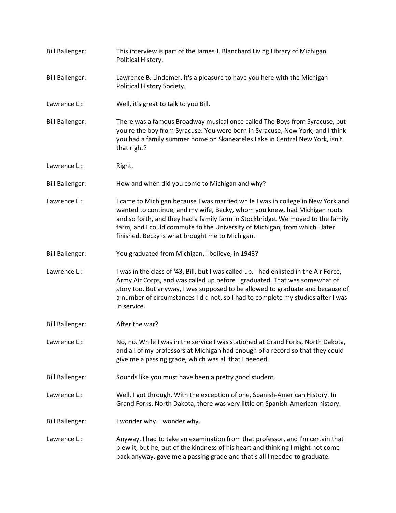Bill Ballenger: This interview is part of the James J. Blanchard Living Library of Michigan Political History. Bill Ballenger: Lawrence B. Lindemer, it's a pleasure to have you here with the Michigan Political History Society. Lawrence L.: Well, it's great to talk to you Bill. Bill Ballenger: There was a famous Broadway musical once called The Boys from Syracuse, but you're the boy from Syracuse. You were born in Syracuse, New York, and I think you had a family summer home on Skaneateles Lake in Central New York, isn't that right? Lawrence L.: Right. Bill Ballenger: How and when did you come to Michigan and why? Lawrence L.: I came to Michigan because I was married while I was in college in New York and wanted to continue, and my wife, Becky, whom you knew, had Michigan roots and so forth, and they had a family farm in Stockbridge. We moved to the family farm, and I could commute to the University of Michigan, from which I later finished. Becky is what brought me to Michigan. Bill Ballenger: You graduated from Michigan, I believe, in 1943? Lawrence L.: I was in the class of '43, Bill, but I was called up. I had enlisted in the Air Force, Army Air Corps, and was called up before I graduated. That was somewhat of story too. But anyway, I was supposed to be allowed to graduate and because of a number of circumstances I did not, so I had to complete my studies after I was in service. Bill Ballenger: After the war? Lawrence L.: No, no. While I was in the service I was stationed at Grand Forks, North Dakota, and all of my professors at Michigan had enough of a record so that they could give me a passing grade, which was all that I needed. Bill Ballenger: Sounds like you must have been a pretty good student. Lawrence L.: Well, I got through. With the exception of one, Spanish-American History. In Grand Forks, North Dakota, there was very little on Spanish-American history. Bill Ballenger: I wonder why. I wonder why. Lawrence L.: Anyway, I had to take an examination from that professor, and I'm certain that I blew it, but he, out of the kindness of his heart and thinking I might not come back anyway, gave me a passing grade and that's all I needed to graduate.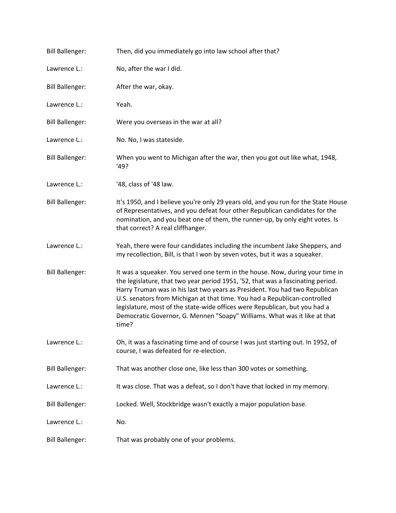| <b>Bill Ballenger:</b> | Then, did you immediately go into law school after that?                                                                                                                                                                                                                                                                                                                                                                                                                                         |
|------------------------|--------------------------------------------------------------------------------------------------------------------------------------------------------------------------------------------------------------------------------------------------------------------------------------------------------------------------------------------------------------------------------------------------------------------------------------------------------------------------------------------------|
| Lawrence L.:           | No, after the war I did.                                                                                                                                                                                                                                                                                                                                                                                                                                                                         |
| <b>Bill Ballenger:</b> | After the war, okay.                                                                                                                                                                                                                                                                                                                                                                                                                                                                             |
| Lawrence L.:           | Yeah.                                                                                                                                                                                                                                                                                                                                                                                                                                                                                            |
| <b>Bill Ballenger:</b> | Were you overseas in the war at all?                                                                                                                                                                                                                                                                                                                                                                                                                                                             |
| Lawrence L.:           | No. No, I was stateside.                                                                                                                                                                                                                                                                                                                                                                                                                                                                         |
| <b>Bill Ballenger:</b> | When you went to Michigan after the war, then you got out like what, 1948,<br>'49?                                                                                                                                                                                                                                                                                                                                                                                                               |
| Lawrence L.:           | '48, class of '48 law.                                                                                                                                                                                                                                                                                                                                                                                                                                                                           |
| <b>Bill Ballenger:</b> | It's 1950, and I believe you're only 29 years old, and you run for the State House<br>of Representatives, and you defeat four other Republican candidates for the<br>nomination, and you beat one of them, the runner-up, by only eight votes. Is<br>that correct? A real cliffhanger.                                                                                                                                                                                                           |
| Lawrence L.:           | Yeah, there were four candidates including the incumbent Jake Sheppers, and<br>my recollection, Bill, is that I won by seven votes, but it was a squeaker.                                                                                                                                                                                                                                                                                                                                       |
| <b>Bill Ballenger:</b> | It was a squeaker. You served one term in the house. Now, during your time in<br>the legislature, that two year period 1951, '52, that was a fascinating period.<br>Harry Truman was in his last two years as President. You had two Republican<br>U.S. senators from Michigan at that time. You had a Republican-controlled<br>legislature, most of the state-wide offices were Republican, but you had a<br>Democratic Governor, G. Mennen "Soapy" Williams. What was it like at that<br>time? |
| Lawrence L.:           | Oh, it was a fascinating time and of course I was just starting out. In 1952, of<br>course, I was defeated for re-election.                                                                                                                                                                                                                                                                                                                                                                      |
| <b>Bill Ballenger:</b> | That was another close one, like less than 300 votes or something.                                                                                                                                                                                                                                                                                                                                                                                                                               |
| Lawrence L.:           | It was close. That was a defeat, so I don't have that locked in my memory.                                                                                                                                                                                                                                                                                                                                                                                                                       |
| <b>Bill Ballenger:</b> | Locked. Well, Stockbridge wasn't exactly a major population base.                                                                                                                                                                                                                                                                                                                                                                                                                                |
| Lawrence L.:           | No.                                                                                                                                                                                                                                                                                                                                                                                                                                                                                              |
| <b>Bill Ballenger:</b> | That was probably one of your problems.                                                                                                                                                                                                                                                                                                                                                                                                                                                          |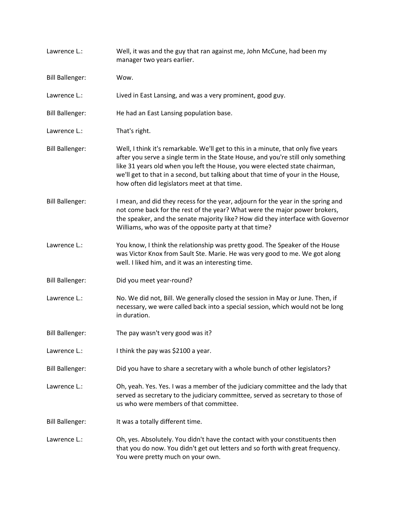| Lawrence L.:           | Well, it was and the guy that ran against me, John McCune, had been my<br>manager two years earlier.                                                                                                                                                                                                                                                                                       |
|------------------------|--------------------------------------------------------------------------------------------------------------------------------------------------------------------------------------------------------------------------------------------------------------------------------------------------------------------------------------------------------------------------------------------|
| <b>Bill Ballenger:</b> | Wow.                                                                                                                                                                                                                                                                                                                                                                                       |
| Lawrence L.:           | Lived in East Lansing, and was a very prominent, good guy.                                                                                                                                                                                                                                                                                                                                 |
| <b>Bill Ballenger:</b> | He had an East Lansing population base.                                                                                                                                                                                                                                                                                                                                                    |
| Lawrence L.:           | That's right.                                                                                                                                                                                                                                                                                                                                                                              |
| <b>Bill Ballenger:</b> | Well, I think it's remarkable. We'll get to this in a minute, that only five years<br>after you serve a single term in the State House, and you're still only something<br>like 31 years old when you left the House, you were elected state chairman,<br>we'll get to that in a second, but talking about that time of your in the House,<br>how often did legislators meet at that time. |
| <b>Bill Ballenger:</b> | I mean, and did they recess for the year, adjourn for the year in the spring and<br>not come back for the rest of the year? What were the major power brokers,<br>the speaker, and the senate majority like? How did they interface with Governor<br>Williams, who was of the opposite party at that time?                                                                                 |
| Lawrence L.:           | You know, I think the relationship was pretty good. The Speaker of the House<br>was Victor Knox from Sault Ste. Marie. He was very good to me. We got along<br>well. I liked him, and it was an interesting time.                                                                                                                                                                          |
| <b>Bill Ballenger:</b> | Did you meet year-round?                                                                                                                                                                                                                                                                                                                                                                   |
| Lawrence L.:           | No. We did not, Bill. We generally closed the session in May or June. Then, if<br>necessary, we were called back into a special session, which would not be long<br>in duration.                                                                                                                                                                                                           |
| <b>Bill Ballenger:</b> | The pay wasn't very good was it?                                                                                                                                                                                                                                                                                                                                                           |
| Lawrence L.:           | I think the pay was \$2100 a year.                                                                                                                                                                                                                                                                                                                                                         |
| <b>Bill Ballenger:</b> | Did you have to share a secretary with a whole bunch of other legislators?                                                                                                                                                                                                                                                                                                                 |
| Lawrence L.:           | Oh, yeah. Yes. Yes. I was a member of the judiciary committee and the lady that<br>served as secretary to the judiciary committee, served as secretary to those of<br>us who were members of that committee.                                                                                                                                                                               |
| <b>Bill Ballenger:</b> | It was a totally different time.                                                                                                                                                                                                                                                                                                                                                           |
| Lawrence L.:           | Oh, yes. Absolutely. You didn't have the contact with your constituents then<br>that you do now. You didn't get out letters and so forth with great frequency.<br>You were pretty much on your own.                                                                                                                                                                                        |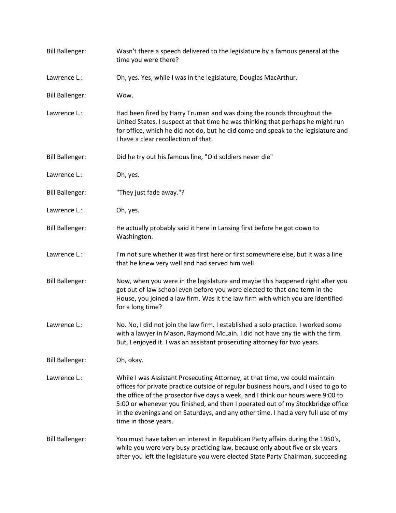| <b>Bill Ballenger:</b> | Wasn't there a speech delivered to the legislature by a famous general at the<br>time you were there?                                                                                                                                                                                                                                                                                                                                                  |
|------------------------|--------------------------------------------------------------------------------------------------------------------------------------------------------------------------------------------------------------------------------------------------------------------------------------------------------------------------------------------------------------------------------------------------------------------------------------------------------|
| Lawrence L.:           | Oh, yes. Yes, while I was in the legislature, Douglas MacArthur.                                                                                                                                                                                                                                                                                                                                                                                       |
| <b>Bill Ballenger:</b> | Wow.                                                                                                                                                                                                                                                                                                                                                                                                                                                   |
| Lawrence L.:           | Had been fired by Harry Truman and was doing the rounds throughout the<br>United States. I suspect at that time he was thinking that perhaps he might run<br>for office, which he did not do, but he did come and speak to the legislature and<br>I have a clear recollection of that.                                                                                                                                                                 |
| <b>Bill Ballenger:</b> | Did he try out his famous line, "Old soldiers never die"                                                                                                                                                                                                                                                                                                                                                                                               |
| Lawrence L.:           | Oh, yes.                                                                                                                                                                                                                                                                                                                                                                                                                                               |
| <b>Bill Ballenger:</b> | "They just fade away."?                                                                                                                                                                                                                                                                                                                                                                                                                                |
| Lawrence L.:           | Oh, yes.                                                                                                                                                                                                                                                                                                                                                                                                                                               |
| <b>Bill Ballenger:</b> | He actually probably said it here in Lansing first before he got down to<br>Washington.                                                                                                                                                                                                                                                                                                                                                                |
| Lawrence L.:           | I'm not sure whether it was first here or first somewhere else, but it was a line<br>that he knew very well and had served him well.                                                                                                                                                                                                                                                                                                                   |
| <b>Bill Ballenger:</b> | Now, when you were in the legislature and maybe this happened right after you<br>got out of law school even before you were elected to that one term in the<br>House, you joined a law firm. Was it the law firm with which you are identified<br>for a long time?                                                                                                                                                                                     |
| Lawrence L.:           | No. No, I did not join the law firm. I established a solo practice. I worked some<br>with a lawyer in Mason, Raymond McLain. I did not have any tie with the firm.<br>But, I enjoyed it. I was an assistant prosecuting attorney for two years.                                                                                                                                                                                                        |
| <b>Bill Ballenger:</b> | Oh, okay.                                                                                                                                                                                                                                                                                                                                                                                                                                              |
| Lawrence L.:           | While I was Assistant Prosecuting Attorney, at that time, we could maintain<br>offices for private practice outside of regular business hours, and I used to go to<br>the office of the prosector five days a week, and I think our hours were 9:00 to<br>5:00 or whenever you finished, and then I operated out of my Stockbridge office<br>in the evenings and on Saturdays, and any other time. I had a very full use of my<br>time in those years. |
| <b>Bill Ballenger:</b> | You must have taken an interest in Republican Party affairs during the 1950's,<br>while you were very busy practicing law, because only about five or six years<br>after you left the legislature you were elected State Party Chairman, succeeding                                                                                                                                                                                                    |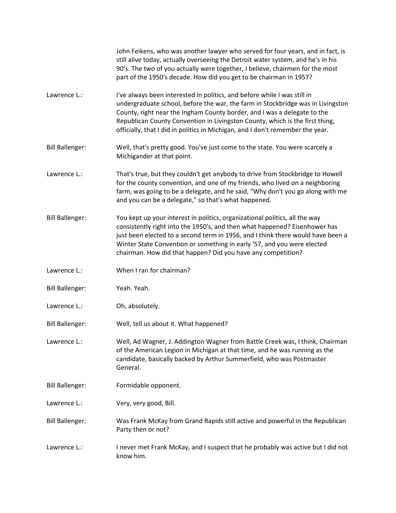|                        | John Feikens, who was another lawyer who served for four years, and in fact, is<br>still alive today, actually overseeing the Detroit water system, and he's in his<br>90's. The two of you actually were together, I believe, chairmen for the most<br>part of the 1950's decade. How did you get to be chairman in 1957?                                                                                |
|------------------------|-----------------------------------------------------------------------------------------------------------------------------------------------------------------------------------------------------------------------------------------------------------------------------------------------------------------------------------------------------------------------------------------------------------|
| Lawrence L.:           | I've always been interested in politics, and before while I was still in<br>undergraduate school, before the war, the farm in Stockbridge was in Livingston<br>County, right near the Ingham County border, and I was a delegate to the<br>Republican County Convention in Livingston County, which is the first thing,<br>officially, that I did in politics in Michigan, and I don't remember the year. |
| <b>Bill Ballenger:</b> | Well, that's pretty good. You've just come to the state. You were scarcely a<br>Michigander at that point.                                                                                                                                                                                                                                                                                                |
| Lawrence L.:           | That's true, but they couldn't get anybody to drive from Stockbridge to Howell<br>for the county convention, and one of my friends, who lived on a neighboring<br>farm, was going to be a delegate, and he said, "Why don't you go along with me<br>and you can be a delegate," so that's what happened.                                                                                                  |
| <b>Bill Ballenger:</b> | You kept up your interest in politics, organizational politics, all the way<br>consistently right into the 1950's, and then what happened? Eisenhower has<br>just been elected to a second term in 1956, and I think there would have been a<br>Winter State Convention or something in early '57, and you were elected<br>chairman. How did that happen? Did you have any competition?                   |
| Lawrence L.:           | When I ran for chairman?                                                                                                                                                                                                                                                                                                                                                                                  |
| <b>Bill Ballenger:</b> | Yeah. Yeah.                                                                                                                                                                                                                                                                                                                                                                                               |
| Lawrence L.:           | Oh, absolutely.                                                                                                                                                                                                                                                                                                                                                                                           |
| <b>Bill Ballenger:</b> | Well, tell us about it. What happened?                                                                                                                                                                                                                                                                                                                                                                    |
| Lawrence L.:           | Well, Ad Wagner, J. Addington Wagner from Battle Creek was, I think, Chairman<br>of the American Legion in Michigan at that time, and he was running as the<br>candidate, basically backed by Arthur Summerfield, who was Postmaster<br>General.                                                                                                                                                          |
| <b>Bill Ballenger:</b> | Formidable opponent.                                                                                                                                                                                                                                                                                                                                                                                      |
| Lawrence L.:           | Very, very good, Bill.                                                                                                                                                                                                                                                                                                                                                                                    |
| <b>Bill Ballenger:</b> | Was Frank McKay from Grand Rapids still active and powerful in the Republican<br>Party then or not?                                                                                                                                                                                                                                                                                                       |
| Lawrence L.:           | I never met Frank McKay, and I suspect that he probably was active but I did not<br>know him.                                                                                                                                                                                                                                                                                                             |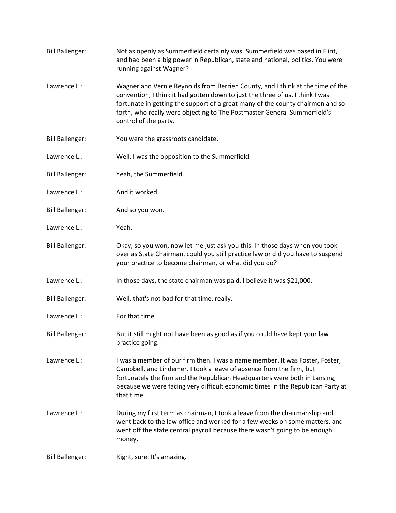Bill Ballenger: Not as openly as Summerfield certainly was. Summerfield was based in Flint, and had been a big power in Republican, state and national, politics. You were running against Wagner? Lawrence L.: Wagner and Vernie Reynolds from Berrien County, and I think at the time of the convention, I think it had gotten down to just the three of us. I think I was fortunate in getting the support of a great many of the county chairmen and so forth, who really were objecting to The Postmaster General Summerfield's control of the party. Bill Ballenger: You were the grassroots candidate. Lawrence L.: Well, I was the opposition to the Summerfield. Bill Ballenger: Yeah, the Summerfield. Lawrence L.: And it worked. Bill Ballenger: And so you won. Lawrence L.: Yeah. Bill Ballenger: Okay, so you won, now let me just ask you this. In those days when you took over as State Chairman, could you still practice law or did you have to suspend your practice to become chairman, or what did you do? Lawrence L.: In those days, the state chairman was paid, I believe it was \$21,000. Bill Ballenger: Well, that's not bad for that time, really. Lawrence L.: For that time. Bill Ballenger: But it still might not have been as good as if you could have kept your law practice going. Lawrence L.: I was a member of our firm then. I was a name member. It was Foster, Foster, Campbell, and Lindemer. I took a leave of absence from the firm, but fortunately the firm and the Republican Headquarters were both in Lansing, because we were facing very difficult economic times in the Republican Party at that time. Lawrence L.: During my first term as chairman, I took a leave from the chairmanship and went back to the law office and worked for a few weeks on some matters, and went off the state central payroll because there wasn't going to be enough money. Bill Ballenger: Right, sure. It's amazing.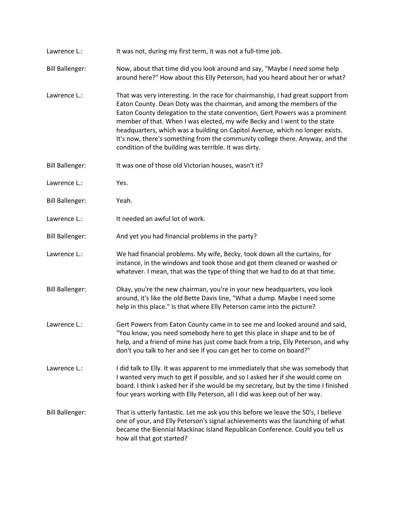Lawrence L.: It was not, during my first term, it was not a full-time job. Bill Ballenger: Now, about that time did you look around and say, "Maybe I need some help around here?" How about this Elly Peterson, had you heard about her or what? Lawrence L.: That was very interesting. In the race for chairmanship, I had great support from Eaton County. Dean Doty was the chairman, and among the members of the Eaton County delegation to the state convention, Gert Powers was a prominent member of that. When I was elected, my wife Becky and I went to the state headquarters, which was a building on Capitol Avenue, which no longer exists. It's now, there's something from the community college there. Anyway, and the condition of the building was terrible. It was dirty. Bill Ballenger: It was one of those old Victorian houses, wasn't it? Lawrence L.: Yes. Bill Ballenger: Yeah. Lawrence L.: It needed an awful lot of work. Bill Ballenger: And yet you had financial problems in the party? Lawrence L.: We had financial problems. My wife, Becky, took down all the curtains, for instance, in the windows and took those and got them cleaned or washed or whatever. I mean, that was the type of thing that we had to do at that time. Bill Ballenger: Okay, you're the new chairman, you're in your new headquarters, you look around, it's like the old Bette Davis line, "What a dump. Maybe I need some help in this place." Is that where Elly Peterson came into the picture? Lawrence L.: Gert Powers from Eaton County came in to see me and looked around and said, "You know, you need somebody here to get this place in shape and to be of help, and a friend of mine has just come back from a trip, Elly Peterson, and why don't you talk to her and see if you can get her to come on board?" Lawrence L.: I did talk to Elly. It was apparent to me immediately that she was somebody that I wanted very much to get if possible, and so I asked her if she would come on board. I think I asked her if she would be my secretary, but by the time I finished four years working with Elly Peterson, all I did was keep out of her way. Bill Ballenger: That is utterly fantastic. Let me ask you this before we leave the 50's, I believe one of your, and Elly Peterson's signal achievements was the launching of what became the Biennial Mackinac Island Republican Conference. Could you tell us how all that got started?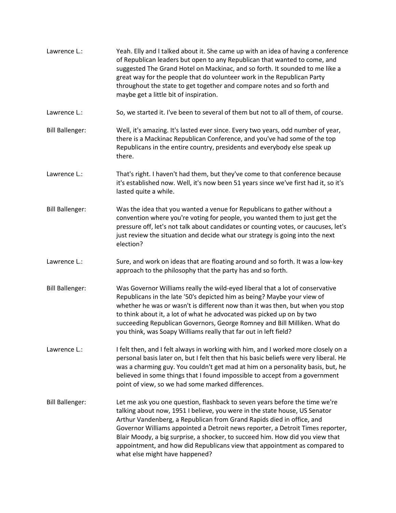| Lawrence L.:           | Yeah. Elly and I talked about it. She came up with an idea of having a conference<br>of Republican leaders but open to any Republican that wanted to come, and<br>suggested The Grand Hotel on Mackinac, and so forth. It sounded to me like a<br>great way for the people that do volunteer work in the Republican Party<br>throughout the state to get together and compare notes and so forth and<br>maybe get a little bit of inspiration.                                                                       |
|------------------------|----------------------------------------------------------------------------------------------------------------------------------------------------------------------------------------------------------------------------------------------------------------------------------------------------------------------------------------------------------------------------------------------------------------------------------------------------------------------------------------------------------------------|
| Lawrence L.:           | So, we started it. I've been to several of them but not to all of them, of course.                                                                                                                                                                                                                                                                                                                                                                                                                                   |
| <b>Bill Ballenger:</b> | Well, it's amazing. It's lasted ever since. Every two years, odd number of year,<br>there is a Mackinac Republican Conference, and you've had some of the top<br>Republicans in the entire country, presidents and everybody else speak up<br>there.                                                                                                                                                                                                                                                                 |
| Lawrence L.:           | That's right. I haven't had them, but they've come to that conference because<br>it's established now. Well, it's now been 51 years since we've first had it, so it's<br>lasted quite a while.                                                                                                                                                                                                                                                                                                                       |
| <b>Bill Ballenger:</b> | Was the idea that you wanted a venue for Republicans to gather without a<br>convention where you're voting for people, you wanted them to just get the<br>pressure off, let's not talk about candidates or counting votes, or caucuses, let's<br>just review the situation and decide what our strategy is going into the next<br>election?                                                                                                                                                                          |
| Lawrence L.:           | Sure, and work on ideas that are floating around and so forth. It was a low-key<br>approach to the philosophy that the party has and so forth.                                                                                                                                                                                                                                                                                                                                                                       |
| <b>Bill Ballenger:</b> | Was Governor Williams really the wild-eyed liberal that a lot of conservative<br>Republicans in the late '50's depicted him as being? Maybe your view of<br>whether he was or wasn't is different now than it was then, but when you stop<br>to think about it, a lot of what he advocated was picked up on by two<br>succeeding Republican Governors, George Romney and Bill Milliken. What do<br>you think, was Soapy Williams really that far out in left field?                                                  |
| Lawrence L.:           | I felt then, and I felt always in working with him, and I worked more closely on a<br>personal basis later on, but I felt then that his basic beliefs were very liberal. He<br>was a charming guy. You couldn't get mad at him on a personality basis, but, he<br>believed in some things that I found impossible to accept from a government<br>point of view, so we had some marked differences.                                                                                                                   |
| <b>Bill Ballenger:</b> | Let me ask you one question, flashback to seven years before the time we're<br>talking about now, 1951 I believe, you were in the state house, US Senator<br>Arthur Vandenberg, a Republican from Grand Rapids died in office, and<br>Governor Williams appointed a Detroit news reporter, a Detroit Times reporter,<br>Blair Moody, a big surprise, a shocker, to succeed him. How did you view that<br>appointment, and how did Republicans view that appointment as compared to<br>what else might have happened? |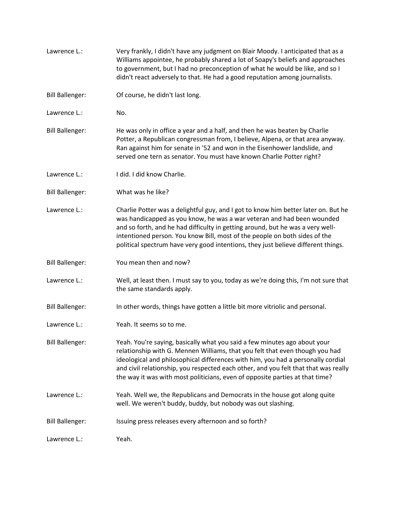Lawrence L.: Very frankly, I didn't have any judgment on Blair Moody. I anticipated that as a Williams appointee, he probably shared a lot of Soapy's beliefs and approaches to government, but I had no preconception of what he would be like, and so I didn't react adversely to that. He had a good reputation among journalists. Bill Ballenger: Of course, he didn't last long. Lawrence L.: No. Bill Ballenger: He was only in office a year and a half, and then he was beaten by Charlie Potter, a Republican congressman from, I believe, Alpena, or that area anyway. Ran against him for senate in '52 and won in the Eisenhower landslide, and served one tern as senator. You must have known Charlie Potter right? Lawrence L.: I did. I did know Charlie. Bill Ballenger: What was he like? Lawrence L.: Charlie Potter was a delightful guy, and I got to know him better later on. But he was handicapped as you know, he was a war veteran and had been wounded and so forth, and he had difficulty in getting around, but he was a very wellintentioned person. You know Bill, most of the people on both sides of the political spectrum have very good intentions, they just believe different things. Bill Ballenger: You mean then and now? Lawrence L.: Well, at least then. I must say to you, today as we're doing this, I'm not sure that the same standards apply. Bill Ballenger: In other words, things have gotten a little bit more vitriolic and personal. Lawrence L.: Yeah. It seems so to me. Bill Ballenger: Yeah. You're saying, basically what you said a few minutes ago about your relationship with G. Mennen Williams, that you felt that even though you had ideological and philosophical differences with him, you had a personally cordial and civil relationship, you respected each other, and you felt that that was really the way it was with most politicians, even of opposite parties at that time? Lawrence L.: Yeah. Well we, the Republicans and Democrats in the house got along quite well. We weren't buddy, buddy, but nobody was out slashing. Bill Ballenger: Issuing press releases every afternoon and so forth? Lawrence L.: Yeah.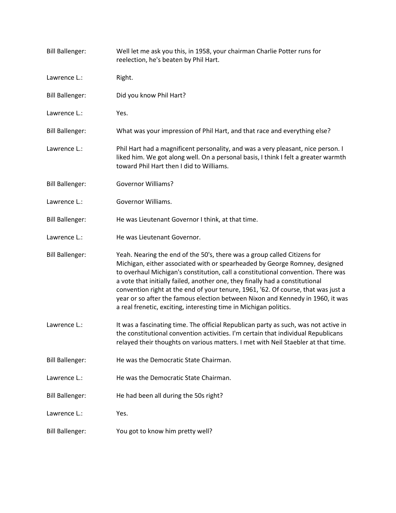| <b>Bill Ballenger:</b> | Well let me ask you this, in 1958, your chairman Charlie Potter runs for<br>reelection, he's beaten by Phil Hart.                                                                                                                                                                                                                                                                                                                                                                                                                                                      |
|------------------------|------------------------------------------------------------------------------------------------------------------------------------------------------------------------------------------------------------------------------------------------------------------------------------------------------------------------------------------------------------------------------------------------------------------------------------------------------------------------------------------------------------------------------------------------------------------------|
| Lawrence L.:           | Right.                                                                                                                                                                                                                                                                                                                                                                                                                                                                                                                                                                 |
| <b>Bill Ballenger:</b> | Did you know Phil Hart?                                                                                                                                                                                                                                                                                                                                                                                                                                                                                                                                                |
| Lawrence L.:           | Yes.                                                                                                                                                                                                                                                                                                                                                                                                                                                                                                                                                                   |
| <b>Bill Ballenger:</b> | What was your impression of Phil Hart, and that race and everything else?                                                                                                                                                                                                                                                                                                                                                                                                                                                                                              |
| Lawrence L.:           | Phil Hart had a magnificent personality, and was a very pleasant, nice person. I<br>liked him. We got along well. On a personal basis, I think I felt a greater warmth<br>toward Phil Hart then I did to Williams.                                                                                                                                                                                                                                                                                                                                                     |
| <b>Bill Ballenger:</b> | <b>Governor Williams?</b>                                                                                                                                                                                                                                                                                                                                                                                                                                                                                                                                              |
| Lawrence L.:           | Governor Williams.                                                                                                                                                                                                                                                                                                                                                                                                                                                                                                                                                     |
| <b>Bill Ballenger:</b> | He was Lieutenant Governor I think, at that time.                                                                                                                                                                                                                                                                                                                                                                                                                                                                                                                      |
| Lawrence L.:           | He was Lieutenant Governor.                                                                                                                                                                                                                                                                                                                                                                                                                                                                                                                                            |
| <b>Bill Ballenger:</b> | Yeah. Nearing the end of the 50's, there was a group called Citizens for<br>Michigan, either associated with or spearheaded by George Romney, designed<br>to overhaul Michigan's constitution, call a constitutional convention. There was<br>a vote that initially failed, another one, they finally had a constitutional<br>convention right at the end of your tenure, 1961, '62. Of course, that was just a<br>year or so after the famous election between Nixon and Kennedy in 1960, it was<br>a real frenetic, exciting, interesting time in Michigan politics. |
| Lawrence L.:           | It was a fascinating time. The official Republican party as such, was not active in<br>the constitutional convention activities. I'm certain that individual Republicans<br>relayed their thoughts on various matters. I met with Neil Staebler at that time.                                                                                                                                                                                                                                                                                                          |
| <b>Bill Ballenger:</b> | He was the Democratic State Chairman.                                                                                                                                                                                                                                                                                                                                                                                                                                                                                                                                  |
| Lawrence L.:           | He was the Democratic State Chairman.                                                                                                                                                                                                                                                                                                                                                                                                                                                                                                                                  |
| <b>Bill Ballenger:</b> | He had been all during the 50s right?                                                                                                                                                                                                                                                                                                                                                                                                                                                                                                                                  |
| Lawrence L.:           | Yes.                                                                                                                                                                                                                                                                                                                                                                                                                                                                                                                                                                   |
| <b>Bill Ballenger:</b> | You got to know him pretty well?                                                                                                                                                                                                                                                                                                                                                                                                                                                                                                                                       |
|                        |                                                                                                                                                                                                                                                                                                                                                                                                                                                                                                                                                                        |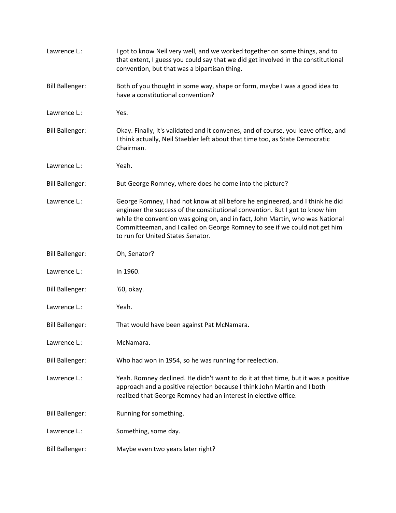| Lawrence L.:           | I got to know Neil very well, and we worked together on some things, and to<br>that extent, I guess you could say that we did get involved in the constitutional<br>convention, but that was a bipartisan thing.                                                                                                                                                  |
|------------------------|-------------------------------------------------------------------------------------------------------------------------------------------------------------------------------------------------------------------------------------------------------------------------------------------------------------------------------------------------------------------|
| <b>Bill Ballenger:</b> | Both of you thought in some way, shape or form, maybe I was a good idea to<br>have a constitutional convention?                                                                                                                                                                                                                                                   |
| Lawrence L.:           | Yes.                                                                                                                                                                                                                                                                                                                                                              |
| <b>Bill Ballenger:</b> | Okay. Finally, it's validated and it convenes, and of course, you leave office, and<br>I think actually, Neil Staebler left about that time too, as State Democratic<br>Chairman.                                                                                                                                                                                 |
| Lawrence L.:           | Yeah.                                                                                                                                                                                                                                                                                                                                                             |
| <b>Bill Ballenger:</b> | But George Romney, where does he come into the picture?                                                                                                                                                                                                                                                                                                           |
| Lawrence L.:           | George Romney, I had not know at all before he engineered, and I think he did<br>engineer the success of the constitutional convention. But I got to know him<br>while the convention was going on, and in fact, John Martin, who was National<br>Committeeman, and I called on George Romney to see if we could not get him<br>to run for United States Senator. |
| <b>Bill Ballenger:</b> | Oh, Senator?                                                                                                                                                                                                                                                                                                                                                      |
| Lawrence L.:           | In 1960.                                                                                                                                                                                                                                                                                                                                                          |
| <b>Bill Ballenger:</b> | '60, okay.                                                                                                                                                                                                                                                                                                                                                        |
| Lawrence L.:           | Yeah.                                                                                                                                                                                                                                                                                                                                                             |
| <b>Bill Ballenger:</b> | That would have been against Pat McNamara.                                                                                                                                                                                                                                                                                                                        |
| Lawrence L.:           | McNamara.                                                                                                                                                                                                                                                                                                                                                         |
| <b>Bill Ballenger:</b> | Who had won in 1954, so he was running for reelection.                                                                                                                                                                                                                                                                                                            |
| Lawrence L.:           | Yeah. Romney declined. He didn't want to do it at that time, but it was a positive<br>approach and a positive rejection because I think John Martin and I both<br>realized that George Romney had an interest in elective office.                                                                                                                                 |
| <b>Bill Ballenger:</b> | Running for something.                                                                                                                                                                                                                                                                                                                                            |
| Lawrence L.:           | Something, some day.                                                                                                                                                                                                                                                                                                                                              |
| <b>Bill Ballenger:</b> | Maybe even two years later right?                                                                                                                                                                                                                                                                                                                                 |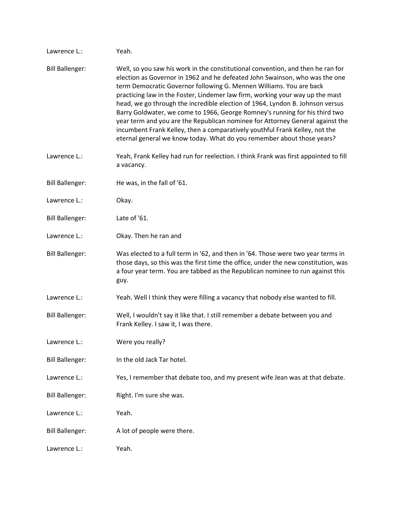| Lawrence L.:           | Yeah.                                                                                                                                                                                                                                                                                                                                                                                                                                                                                                                                                                                                                                                                                                                            |
|------------------------|----------------------------------------------------------------------------------------------------------------------------------------------------------------------------------------------------------------------------------------------------------------------------------------------------------------------------------------------------------------------------------------------------------------------------------------------------------------------------------------------------------------------------------------------------------------------------------------------------------------------------------------------------------------------------------------------------------------------------------|
| <b>Bill Ballenger:</b> | Well, so you saw his work in the constitutional convention, and then he ran for<br>election as Governor in 1962 and he defeated John Swainson, who was the one<br>term Democratic Governor following G. Mennen Williams. You are back<br>practicing law in the Foster, Lindemer law firm, working your way up the mast<br>head, we go through the incredible election of 1964, Lyndon B. Johnson versus<br>Barry Goldwater, we come to 1966, George Romney's running for his third two<br>year term and you are the Republican nominee for Attorney General against the<br>incumbent Frank Kelley, then a comparatively youthful Frank Kelley, not the<br>eternal general we know today. What do you remember about those years? |
| Lawrence L.:           | Yeah, Frank Kelley had run for reelection. I think Frank was first appointed to fill<br>a vacancy.                                                                                                                                                                                                                                                                                                                                                                                                                                                                                                                                                                                                                               |
| <b>Bill Ballenger:</b> | He was, in the fall of '61.                                                                                                                                                                                                                                                                                                                                                                                                                                                                                                                                                                                                                                                                                                      |
| Lawrence L.:           | Okay.                                                                                                                                                                                                                                                                                                                                                                                                                                                                                                                                                                                                                                                                                                                            |
| <b>Bill Ballenger:</b> | Late of '61.                                                                                                                                                                                                                                                                                                                                                                                                                                                                                                                                                                                                                                                                                                                     |
| Lawrence L.:           | Okay. Then he ran and                                                                                                                                                                                                                                                                                                                                                                                                                                                                                                                                                                                                                                                                                                            |
| <b>Bill Ballenger:</b> | Was elected to a full term in '62, and then in '64. Those were two year terms in<br>those days, so this was the first time the office, under the new constitution, was<br>a four year term. You are tabbed as the Republican nominee to run against this<br>guy.                                                                                                                                                                                                                                                                                                                                                                                                                                                                 |
| Lawrence L.:           | Yeah. Well I think they were filling a vacancy that nobody else wanted to fill.                                                                                                                                                                                                                                                                                                                                                                                                                                                                                                                                                                                                                                                  |
| <b>Bill Ballenger:</b> | Well, I wouldn't say it like that. I still remember a debate between you and<br>Frank Kelley. I saw it, I was there.                                                                                                                                                                                                                                                                                                                                                                                                                                                                                                                                                                                                             |
| Lawrence L.:           | Were you really?                                                                                                                                                                                                                                                                                                                                                                                                                                                                                                                                                                                                                                                                                                                 |
| <b>Bill Ballenger:</b> | In the old Jack Tar hotel.                                                                                                                                                                                                                                                                                                                                                                                                                                                                                                                                                                                                                                                                                                       |
| Lawrence L.:           | Yes, I remember that debate too, and my present wife Jean was at that debate.                                                                                                                                                                                                                                                                                                                                                                                                                                                                                                                                                                                                                                                    |
| <b>Bill Ballenger:</b> | Right. I'm sure she was.                                                                                                                                                                                                                                                                                                                                                                                                                                                                                                                                                                                                                                                                                                         |
| Lawrence L.:           | Yeah.                                                                                                                                                                                                                                                                                                                                                                                                                                                                                                                                                                                                                                                                                                                            |
| <b>Bill Ballenger:</b> | A lot of people were there.                                                                                                                                                                                                                                                                                                                                                                                                                                                                                                                                                                                                                                                                                                      |
| Lawrence L.:           | Yeah.                                                                                                                                                                                                                                                                                                                                                                                                                                                                                                                                                                                                                                                                                                                            |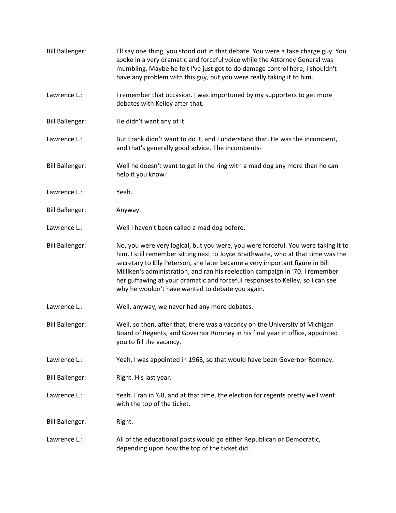Bill Ballenger: I'll say one thing, you stood out in that debate. You were a take charge guy. You spoke in a very dramatic and forceful voice while the Attorney General was mumbling. Maybe he felt I've just got to do damage control here, I shouldn't have any problem with this guy, but you were really taking it to him. Lawrence L.: I remember that occasion. I was importuned by my supporters to get more debates with Kelley after that. Bill Ballenger: He didn't want any of it. Lawrence L.: But Frank didn't want to do it, and I understand that. He was the incumbent, and that's generally good advice. The incumbents-Bill Ballenger: Well he doesn't want to get in the ring with a mad dog any more than he can help it you know? Lawrence L.: Yeah. Bill Ballenger: Anyway. Lawrence L.: Well I haven't been called a mad dog before. Bill Ballenger: No, you were very logical, but you were, you were forceful. You were taking it to him. I still remember sitting next to Joyce Braithwaite, who at that time was the secretary to Elly Peterson, she later became a very important figure in Bill Milliken's administration, and ran his reelection campaign in '70. I remember her guffawing at your dramatic and forceful responses to Kelley, so I can see why he wouldn't have wanted to debate you again. Lawrence L.: Well, anyway, we never had any more debates. Bill Ballenger: Well, so then, after that, there was a vacancy on the University of Michigan Board of Regents, and Governor Romney in his final year in office, appointed you to fill the vacancy. Lawrence L.: Yeah, I was appointed in 1968, so that would have been Governor Romney. Bill Ballenger: Right. His last year. Lawrence L.: Yeah. I ran in '68, and at that time, the election for regents pretty well went with the top of the ticket. Bill Ballenger: Right. Lawrence L.: All of the educational posts would go either Republican or Democratic, depending upon how the top of the ticket did.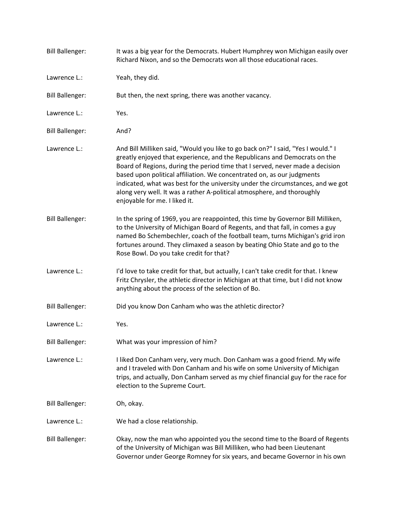| <b>Bill Ballenger:</b> | It was a big year for the Democrats. Hubert Humphrey won Michigan easily over<br>Richard Nixon, and so the Democrats won all those educational races.                                                                                                                                                                                                                                                                                                                                                                   |
|------------------------|-------------------------------------------------------------------------------------------------------------------------------------------------------------------------------------------------------------------------------------------------------------------------------------------------------------------------------------------------------------------------------------------------------------------------------------------------------------------------------------------------------------------------|
| Lawrence L.:           | Yeah, they did.                                                                                                                                                                                                                                                                                                                                                                                                                                                                                                         |
| <b>Bill Ballenger:</b> | But then, the next spring, there was another vacancy.                                                                                                                                                                                                                                                                                                                                                                                                                                                                   |
| Lawrence L.:           | Yes.                                                                                                                                                                                                                                                                                                                                                                                                                                                                                                                    |
| <b>Bill Ballenger:</b> | And?                                                                                                                                                                                                                                                                                                                                                                                                                                                                                                                    |
| Lawrence L.:           | And Bill Milliken said, "Would you like to go back on?" I said, "Yes I would." I<br>greatly enjoyed that experience, and the Republicans and Democrats on the<br>Board of Regions, during the period time that I served, never made a decision<br>based upon political affiliation. We concentrated on, as our judgments<br>indicated, what was best for the university under the circumstances, and we got<br>along very well. It was a rather A-political atmosphere, and thoroughly<br>enjoyable for me. I liked it. |
| <b>Bill Ballenger:</b> | In the spring of 1969, you are reappointed, this time by Governor Bill Milliken,<br>to the University of Michigan Board of Regents, and that fall, in comes a guy<br>named Bo Schembechler, coach of the football team, turns Michigan's grid iron<br>fortunes around. They climaxed a season by beating Ohio State and go to the<br>Rose Bowl. Do you take credit for that?                                                                                                                                            |
| Lawrence L.:           | I'd love to take credit for that, but actually, I can't take credit for that. I knew<br>Fritz Chrysler, the athletic director in Michigan at that time, but I did not know<br>anything about the process of the selection of Bo.                                                                                                                                                                                                                                                                                        |
| <b>Bill Ballenger:</b> | Did you know Don Canham who was the athletic director?                                                                                                                                                                                                                                                                                                                                                                                                                                                                  |
| Lawrence L.:           | Yes.                                                                                                                                                                                                                                                                                                                                                                                                                                                                                                                    |
| <b>Bill Ballenger:</b> | What was your impression of him?                                                                                                                                                                                                                                                                                                                                                                                                                                                                                        |
| Lawrence L.:           | I liked Don Canham very, very much. Don Canham was a good friend. My wife<br>and I traveled with Don Canham and his wife on some University of Michigan<br>trips, and actually, Don Canham served as my chief financial guy for the race for<br>election to the Supreme Court.                                                                                                                                                                                                                                          |
| <b>Bill Ballenger:</b> | Oh, okay.                                                                                                                                                                                                                                                                                                                                                                                                                                                                                                               |
| Lawrence L.:           | We had a close relationship.                                                                                                                                                                                                                                                                                                                                                                                                                                                                                            |
| <b>Bill Ballenger:</b> | Okay, now the man who appointed you the second time to the Board of Regents<br>of the University of Michigan was Bill Milliken, who had been Lieutenant<br>Governor under George Romney for six years, and became Governor in his own                                                                                                                                                                                                                                                                                   |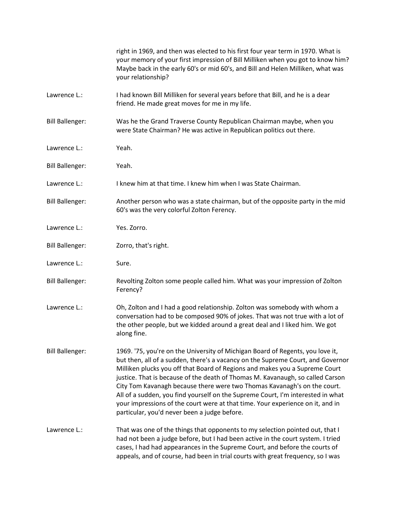|                        | right in 1969, and then was elected to his first four year term in 1970. What is<br>your memory of your first impression of Bill Milliken when you got to know him?<br>Maybe back in the early 60's or mid 60's, and Bill and Helen Milliken, what was<br>your relationship?                                                                                                                                                                                                                                                                                                                                                        |
|------------------------|-------------------------------------------------------------------------------------------------------------------------------------------------------------------------------------------------------------------------------------------------------------------------------------------------------------------------------------------------------------------------------------------------------------------------------------------------------------------------------------------------------------------------------------------------------------------------------------------------------------------------------------|
| Lawrence L.:           | I had known Bill Milliken for several years before that Bill, and he is a dear<br>friend. He made great moves for me in my life.                                                                                                                                                                                                                                                                                                                                                                                                                                                                                                    |
| <b>Bill Ballenger:</b> | Was he the Grand Traverse County Republican Chairman maybe, when you<br>were State Chairman? He was active in Republican politics out there.                                                                                                                                                                                                                                                                                                                                                                                                                                                                                        |
| Lawrence L.:           | Yeah.                                                                                                                                                                                                                                                                                                                                                                                                                                                                                                                                                                                                                               |
| <b>Bill Ballenger:</b> | Yeah.                                                                                                                                                                                                                                                                                                                                                                                                                                                                                                                                                                                                                               |
| Lawrence L.:           | I knew him at that time. I knew him when I was State Chairman.                                                                                                                                                                                                                                                                                                                                                                                                                                                                                                                                                                      |
| <b>Bill Ballenger:</b> | Another person who was a state chairman, but of the opposite party in the mid<br>60's was the very colorful Zolton Ferency.                                                                                                                                                                                                                                                                                                                                                                                                                                                                                                         |
| Lawrence L.:           | Yes. Zorro.                                                                                                                                                                                                                                                                                                                                                                                                                                                                                                                                                                                                                         |
| <b>Bill Ballenger:</b> | Zorro, that's right.                                                                                                                                                                                                                                                                                                                                                                                                                                                                                                                                                                                                                |
| Lawrence L.:           | Sure.                                                                                                                                                                                                                                                                                                                                                                                                                                                                                                                                                                                                                               |
| <b>Bill Ballenger:</b> | Revolting Zolton some people called him. What was your impression of Zolton<br>Ferency?                                                                                                                                                                                                                                                                                                                                                                                                                                                                                                                                             |
| Lawrence L.:           | Oh, Zolton and I had a good relationship. Zolton was somebody with whom a<br>conversation had to be composed 90% of jokes. That was not true with a lot of<br>the other people, but we kidded around a great deal and I liked him. We got<br>along fine.                                                                                                                                                                                                                                                                                                                                                                            |
| <b>Bill Ballenger:</b> | 1969. '75, you're on the University of Michigan Board of Regents, you love it,<br>but then, all of a sudden, there's a vacancy on the Supreme Court, and Governor<br>Milliken plucks you off that Board of Regions and makes you a Supreme Court<br>justice. That is because of the death of Thomas M. Kavanaugh, so called Carson<br>City Tom Kavanagh because there were two Thomas Kavanagh's on the court.<br>All of a sudden, you find yourself on the Supreme Court, I'm interested in what<br>your impressions of the court were at that time. Your experience on it, and in<br>particular, you'd never been a judge before. |
| Lawrence L.:           | That was one of the things that opponents to my selection pointed out, that I<br>had not been a judge before, but I had been active in the court system. I tried<br>cases, I had had appearances in the Supreme Court, and before the courts of<br>appeals, and of course, had been in trial courts with great frequency, so I was                                                                                                                                                                                                                                                                                                  |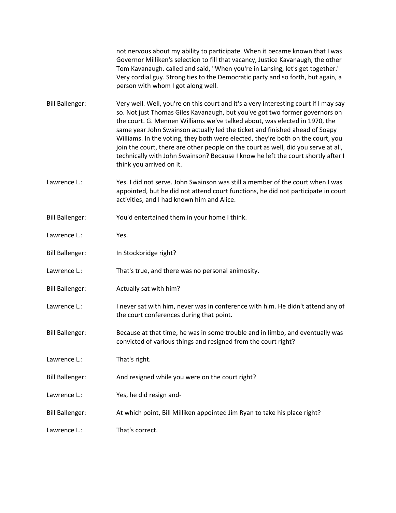not nervous about my ability to participate. When it became known that I was Governor Milliken's selection to fill that vacancy, Justice Kavanaugh, the other Tom Kavanaugh. called and said, "When you're in Lansing, let's get together." Very cordial guy. Strong ties to the Democratic party and so forth, but again, a person with whom I got along well.

Bill Ballenger: Very well. Well, you're on this court and it's a very interesting court if I may say so. Not just Thomas Giles Kavanaugh, but you've got two former governors on the court. G. Mennen Williams we've talked about, was elected in 1970, the same year John Swainson actually led the ticket and finished ahead of Soapy Williams. In the voting, they both were elected, they're both on the court, you join the court, there are other people on the court as well, did you serve at all, technically with John Swainson? Because I know he left the court shortly after I think you arrived on it.

- Lawrence L.: Yes. I did not serve. John Swainson was still a member of the court when I was appointed, but he did not attend court functions, he did not participate in court activities, and I had known him and Alice.
- Bill Ballenger: You'd entertained them in your home I think.
- Lawrence L.: Yes.
- Bill Ballenger: In Stockbridge right?
- Lawrence L.: That's true, and there was no personal animosity.
- Bill Ballenger: Actually sat with him?
- Lawrence L.: Inever sat with him, never was in conference with him. He didn't attend any of the court conferences during that point.
- Bill Ballenger: Because at that time, he was in some trouble and in limbo, and eventually was convicted of various things and resigned from the court right?
- Lawrence L.: That's right.
- Bill Ballenger: And resigned while you were on the court right?
- Lawrence L.: Yes, he did resign and-
- Bill Ballenger: At which point, Bill Milliken appointed Jim Ryan to take his place right?
- Lawrence L.: That's correct.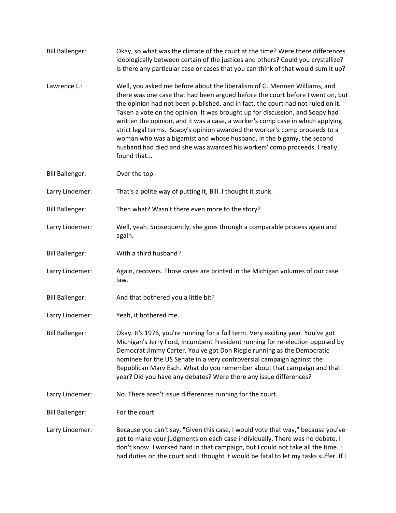| <b>Bill Ballenger:</b> | Okay, so what was the climate of the court at the time? Were there differences<br>ideologically between certain of the justices and others? Could you crystallize?<br>Is there any particular case or cases that you can think of that would sum it up?                                                                                                                                                                                                                                                                                                                                                                                                             |
|------------------------|---------------------------------------------------------------------------------------------------------------------------------------------------------------------------------------------------------------------------------------------------------------------------------------------------------------------------------------------------------------------------------------------------------------------------------------------------------------------------------------------------------------------------------------------------------------------------------------------------------------------------------------------------------------------|
| Lawrence L.:           | Well, you asked me before about the liberalism of G. Mennen Williams, and<br>there was one case that had been argued before the court before I went on, but<br>the opinion had not been published, and in fact, the court had not ruled on it.<br>Taken a vote on the opinion. It was brought up for discussion, and Soapy had<br>written the opinion, and it was a case, a worker's comp case in which applying<br>strict legal terms. Soapy's opinion awarded the worker's comp proceeds to a<br>woman who was a bigamist and whose husband, in the bigamy, the second<br>husband had died and she was awarded his workers' comp proceeds. I really<br>found that |
| <b>Bill Ballenger:</b> | Over the top.                                                                                                                                                                                                                                                                                                                                                                                                                                                                                                                                                                                                                                                       |
| Larry Lindemer:        | That's a polite way of putting it, Bill. I thought it stunk.                                                                                                                                                                                                                                                                                                                                                                                                                                                                                                                                                                                                        |
| <b>Bill Ballenger:</b> | Then what? Wasn't there even more to the story?                                                                                                                                                                                                                                                                                                                                                                                                                                                                                                                                                                                                                     |
| Larry Lindemer:        | Well, yeah. Subsequently, she goes through a comparable process again and<br>again.                                                                                                                                                                                                                                                                                                                                                                                                                                                                                                                                                                                 |
| <b>Bill Ballenger:</b> | With a third husband?                                                                                                                                                                                                                                                                                                                                                                                                                                                                                                                                                                                                                                               |
| Larry Lindemer:        | Again, recovers. Those cases are printed in the Michigan volumes of our case<br>law.                                                                                                                                                                                                                                                                                                                                                                                                                                                                                                                                                                                |
| <b>Bill Ballenger:</b> | And that bothered you a little bit?                                                                                                                                                                                                                                                                                                                                                                                                                                                                                                                                                                                                                                 |
| Larry Lindemer:        | Yeah, it bothered me.                                                                                                                                                                                                                                                                                                                                                                                                                                                                                                                                                                                                                                               |
| <b>Bill Ballenger:</b> | Okay. It's 1976, you're running for a full term. Very exciting year. You've got<br>Michigan's Jerry Ford, Incumbent President running for re-election opposed by<br>Democrat Jimmy Carter. You've got Don Riegle running as the Democratic<br>nominee for the US Senate in a very controversial campaign against the<br>Republican Marv Esch. What do you remember about that campaign and that<br>year? Did you have any debates? Were there any issue differences?                                                                                                                                                                                                |
| Larry Lindemer:        | No. There aren't issue differences running for the court.                                                                                                                                                                                                                                                                                                                                                                                                                                                                                                                                                                                                           |
| <b>Bill Ballenger:</b> | For the court.                                                                                                                                                                                                                                                                                                                                                                                                                                                                                                                                                                                                                                                      |
| Larry Lindemer:        | Because you can't say, "Given this case, I would vote that way," because you've<br>got to make your judgments on each case individually. There was no debate. I<br>don't know. I worked hard in that campaign, but I could not take all the time. I<br>had duties on the court and I thought it would be fatal to let my tasks suffer. If I                                                                                                                                                                                                                                                                                                                         |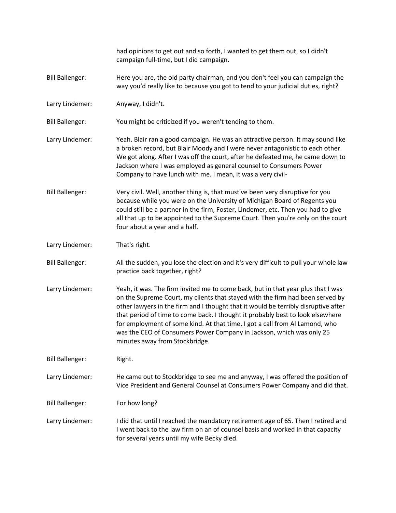|                        | had opinions to get out and so forth, I wanted to get them out, so I didn't<br>campaign full-time, but I did campaign.                                                                                                                                                                                                                                                                                                                                                                                                             |
|------------------------|------------------------------------------------------------------------------------------------------------------------------------------------------------------------------------------------------------------------------------------------------------------------------------------------------------------------------------------------------------------------------------------------------------------------------------------------------------------------------------------------------------------------------------|
| <b>Bill Ballenger:</b> | Here you are, the old party chairman, and you don't feel you can campaign the<br>way you'd really like to because you got to tend to your judicial duties, right?                                                                                                                                                                                                                                                                                                                                                                  |
| Larry Lindemer:        | Anyway, I didn't.                                                                                                                                                                                                                                                                                                                                                                                                                                                                                                                  |
| <b>Bill Ballenger:</b> | You might be criticized if you weren't tending to them.                                                                                                                                                                                                                                                                                                                                                                                                                                                                            |
| Larry Lindemer:        | Yeah. Blair ran a good campaign. He was an attractive person. It may sound like<br>a broken record, but Blair Moody and I were never antagonistic to each other.<br>We got along. After I was off the court, after he defeated me, he came down to<br>Jackson where I was employed as general counsel to Consumers Power<br>Company to have lunch with me. I mean, it was a very civil-                                                                                                                                            |
| <b>Bill Ballenger:</b> | Very civil. Well, another thing is, that must've been very disruptive for you<br>because while you were on the University of Michigan Board of Regents you<br>could still be a partner in the firm, Foster, Lindemer, etc. Then you had to give<br>all that up to be appointed to the Supreme Court. Then you're only on the court<br>four about a year and a half.                                                                                                                                                                |
| Larry Lindemer:        | That's right.                                                                                                                                                                                                                                                                                                                                                                                                                                                                                                                      |
| <b>Bill Ballenger:</b> | All the sudden, you lose the election and it's very difficult to pull your whole law<br>practice back together, right?                                                                                                                                                                                                                                                                                                                                                                                                             |
| Larry Lindemer:        | Yeah, it was. The firm invited me to come back, but in that year plus that I was<br>on the Supreme Court, my clients that stayed with the firm had been served by<br>other lawyers in the firm and I thought that it would be terribly disruptive after<br>that period of time to come back. I thought it probably best to look elsewhere<br>for employment of some kind. At that time, I got a call from AI Lamond, who<br>was the CEO of Consumers Power Company in Jackson, which was only 25<br>minutes away from Stockbridge. |
| <b>Bill Ballenger:</b> | Right.                                                                                                                                                                                                                                                                                                                                                                                                                                                                                                                             |
| Larry Lindemer:        | He came out to Stockbridge to see me and anyway, I was offered the position of<br>Vice President and General Counsel at Consumers Power Company and did that.                                                                                                                                                                                                                                                                                                                                                                      |
| <b>Bill Ballenger:</b> | For how long?                                                                                                                                                                                                                                                                                                                                                                                                                                                                                                                      |
| Larry Lindemer:        | I did that until I reached the mandatory retirement age of 65. Then I retired and<br>I went back to the law firm on an of counsel basis and worked in that capacity<br>for several years until my wife Becky died.                                                                                                                                                                                                                                                                                                                 |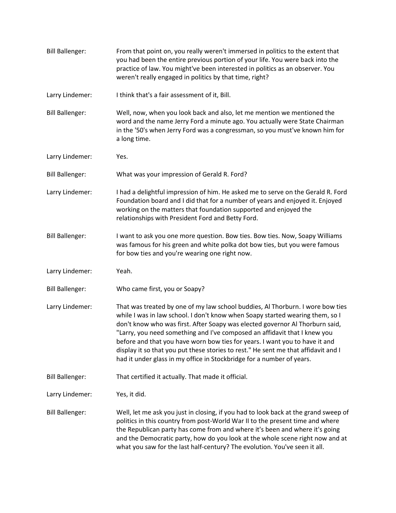| <b>Bill Ballenger:</b> | From that point on, you really weren't immersed in politics to the extent that<br>you had been the entire previous portion of your life. You were back into the<br>practice of law. You might've been interested in politics as an observer. You<br>weren't really engaged in politics by that time, right?                                                                                                                                                                                                                                                                |
|------------------------|----------------------------------------------------------------------------------------------------------------------------------------------------------------------------------------------------------------------------------------------------------------------------------------------------------------------------------------------------------------------------------------------------------------------------------------------------------------------------------------------------------------------------------------------------------------------------|
| Larry Lindemer:        | I think that's a fair assessment of it, Bill.                                                                                                                                                                                                                                                                                                                                                                                                                                                                                                                              |
| <b>Bill Ballenger:</b> | Well, now, when you look back and also, let me mention we mentioned the<br>word and the name Jerry Ford a minute ago. You actually were State Chairman<br>in the '50's when Jerry Ford was a congressman, so you must've known him for<br>a long time.                                                                                                                                                                                                                                                                                                                     |
| Larry Lindemer:        | Yes.                                                                                                                                                                                                                                                                                                                                                                                                                                                                                                                                                                       |
| <b>Bill Ballenger:</b> | What was your impression of Gerald R. Ford?                                                                                                                                                                                                                                                                                                                                                                                                                                                                                                                                |
| Larry Lindemer:        | I had a delightful impression of him. He asked me to serve on the Gerald R. Ford<br>Foundation board and I did that for a number of years and enjoyed it. Enjoyed<br>working on the matters that foundation supported and enjoyed the<br>relationships with President Ford and Betty Ford.                                                                                                                                                                                                                                                                                 |
| <b>Bill Ballenger:</b> | I want to ask you one more question. Bow ties. Bow ties. Now, Soapy Williams<br>was famous for his green and white polka dot bow ties, but you were famous<br>for bow ties and you're wearing one right now.                                                                                                                                                                                                                                                                                                                                                               |
| Larry Lindemer:        | Yeah.                                                                                                                                                                                                                                                                                                                                                                                                                                                                                                                                                                      |
| <b>Bill Ballenger:</b> | Who came first, you or Soapy?                                                                                                                                                                                                                                                                                                                                                                                                                                                                                                                                              |
| Larry Lindemer:        | That was treated by one of my law school buddies, Al Thorburn. I wore bow ties<br>while I was in law school. I don't know when Soapy started wearing them, so I<br>don't know who was first. After Soapy was elected governor Al Thorburn said,<br>"Larry, you need something and I've composed an affidavit that I knew you<br>before and that you have worn bow ties for years. I want you to have it and<br>display it so that you put these stories to rest." He sent me that affidavit and I<br>had it under glass in my office in Stockbridge for a number of years. |
| <b>Bill Ballenger:</b> | That certified it actually. That made it official.                                                                                                                                                                                                                                                                                                                                                                                                                                                                                                                         |
| Larry Lindemer:        | Yes, it did.                                                                                                                                                                                                                                                                                                                                                                                                                                                                                                                                                               |
| <b>Bill Ballenger:</b> | Well, let me ask you just in closing, if you had to look back at the grand sweep of<br>politics in this country from post-World War II to the present time and where<br>the Republican party has come from and where it's been and where it's going<br>and the Democratic party, how do you look at the whole scene right now and at<br>what you saw for the last half-century? The evolution. You've seen it all.                                                                                                                                                         |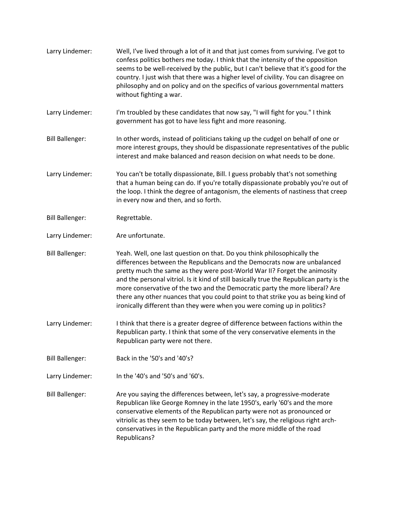Larry Lindemer: Well, I've lived through a lot of it and that just comes from surviving. I've got to confess politics bothers me today. I think that the intensity of the opposition seems to be well-received by the public, but I can't believe that it's good for the country. I just wish that there was a higher level of civility. You can disagree on philosophy and on policy and on the specifics of various governmental matters without fighting a war. Larry Lindemer: I'm troubled by these candidates that now say, "I will fight for you." I think government has got to have less fight and more reasoning. Bill Ballenger: In other words, instead of politicians taking up the cudgel on behalf of one or more interest groups, they should be dispassionate representatives of the public interest and make balanced and reason decision on what needs to be done. Larry Lindemer: You can't be totally dispassionate, Bill. I guess probably that's not something that a human being can do. If you're totally dispassionate probably you're out of the loop. I think the degree of antagonism, the elements of nastiness that creep in every now and then, and so forth. Bill Ballenger: Regrettable. Larry Lindemer: Are unfortunate. Bill Ballenger: Yeah. Well, one last question on that. Do you think philosophically the differences between the Republicans and the Democrats now are unbalanced pretty much the same as they were post-World War II? Forget the animosity and the personal vitriol. Is it kind of still basically true the Republican party is the more conservative of the two and the Democratic party the more liberal? Are there any other nuances that you could point to that strike you as being kind of ironically different than they were when you were coming up in politics? Larry Lindemer: I think that there is a greater degree of difference between factions within the Republican party. I think that some of the very conservative elements in the Republican party were not there. Bill Ballenger: Back in the '50's and '40's? Larry Lindemer: In the '40's and '50's and '60's. Bill Ballenger: Are you saying the differences between, let's say, a progressive-moderate Republican like George Romney in the late 1950's, early '60's and the more conservative elements of the Republican party were not as pronounced or vitriolic as they seem to be today between, let's say, the religious right archconservatives in the Republican party and the more middle of the road Republicans?